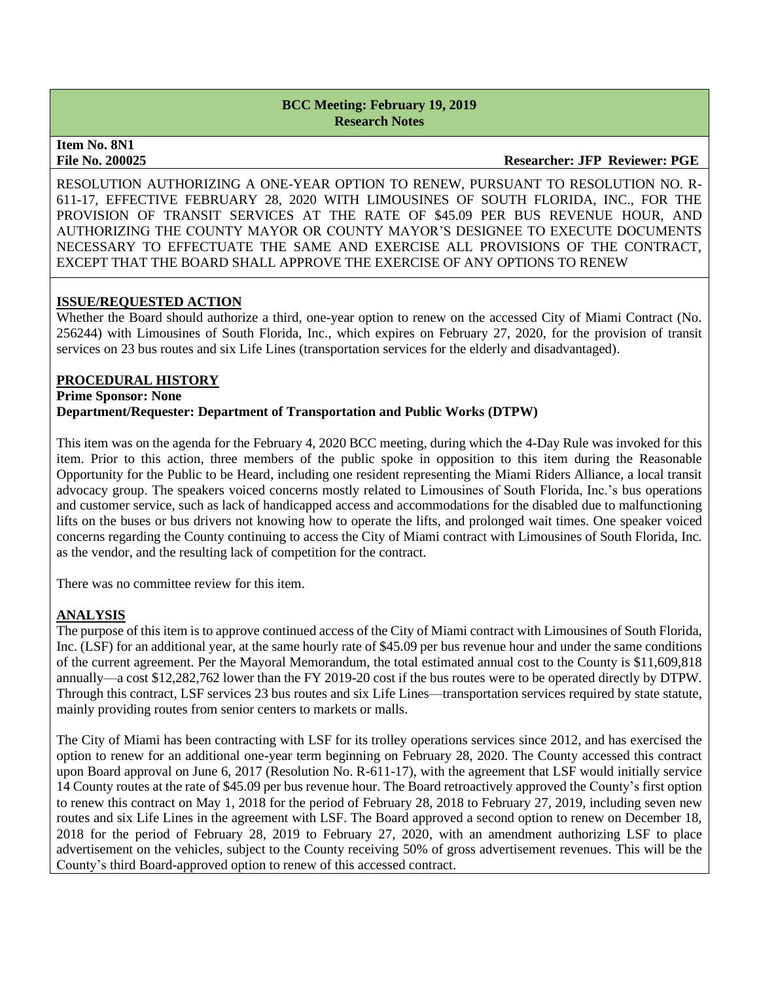**Item No. 8N1** 

**File No. 200025 Researcher: JFP Reviewer: PGE**

RESOLUTION AUTHORIZING A ONE-YEAR OPTION TO RENEW, PURSUANT TO RESOLUTION NO. R-611-17, EFFECTIVE FEBRUARY 28, 2020 WITH LIMOUSINES OF SOUTH FLORIDA, INC., FOR THE PROVISION OF TRANSIT SERVICES AT THE RATE OF \$45.09 PER BUS REVENUE HOUR, AND AUTHORIZING THE COUNTY MAYOR OR COUNTY MAYOR'S DESIGNEE TO EXECUTE DOCUMENTS NECESSARY TO EFFECTUATE THE SAME AND EXERCISE ALL PROVISIONS OF THE CONTRACT, EXCEPT THAT THE BOARD SHALL APPROVE THE EXERCISE OF ANY OPTIONS TO RENEW

### **ISSUE/REQUESTED ACTION**

Whether the Board should authorize a third, one-year option to renew on the accessed City of Miami Contract (No. 256244) with Limousines of South Florida, Inc., which expires on February 27, 2020, for the provision of transit services on 23 bus routes and six Life Lines (transportation services for the elderly and disadvantaged).

#### **PROCEDURAL HISTORY**

**Prime Sponsor: None Department/Requester: Department of Transportation and Public Works (DTPW)**

This item was on the agenda for the February 4, 2020 BCC meeting, during which the 4-Day Rule was invoked for this item. Prior to this action, three members of the public spoke in opposition to this item during the Reasonable Opportunity for the Public to be Heard, including one resident representing the Miami Riders Alliance, a local transit advocacy group. The speakers voiced concerns mostly related to Limousines of South Florida, Inc.'s bus operations and customer service, such as lack of handicapped access and accommodations for the disabled due to malfunctioning lifts on the buses or bus drivers not knowing how to operate the lifts, and prolonged wait times. One speaker voiced concerns regarding the County continuing to access the City of Miami contract with Limousines of South Florida, Inc. as the vendor, and the resulting lack of competition for the contract.

There was no committee review for this item.

## **ANALYSIS**

The purpose of this item is to approve continued access of the City of Miami contract with Limousines of South Florida, Inc. (LSF) for an additional year, at the same hourly rate of \$45.09 per bus revenue hour and under the same conditions of the current agreement. Per the Mayoral Memorandum, the total estimated annual cost to the County is \$11,609,818 annually—a cost \$12,282,762 lower than the FY 2019-20 cost if the bus routes were to be operated directly by DTPW. Through this contract, LSF services 23 bus routes and six Life Lines—transportation services required by state statute, mainly providing routes from senior centers to markets or malls.

The City of Miami has been contracting with LSF for its trolley operations services since 2012, and has exercised the option to renew for an additional one-year term beginning on February 28, 2020. The County accessed this contract upon Board approval on June 6, 2017 (Resolution No. R-611-17), with the agreement that LSF would initially service 14 County routes at the rate of \$45.09 per bus revenue hour. The Board retroactively approved the County's first option to renew this contract on May 1, 2018 for the period of February 28, 2018 to February 27, 2019, including seven new routes and six Life Lines in the agreement with LSF. The Board approved a second option to renew on December 18, 2018 for the period of February 28, 2019 to February 27, 2020, with an amendment authorizing LSF to place advertisement on the vehicles, subject to the County receiving 50% of gross advertisement revenues. This will be the County's third Board-approved option to renew of this accessed contract.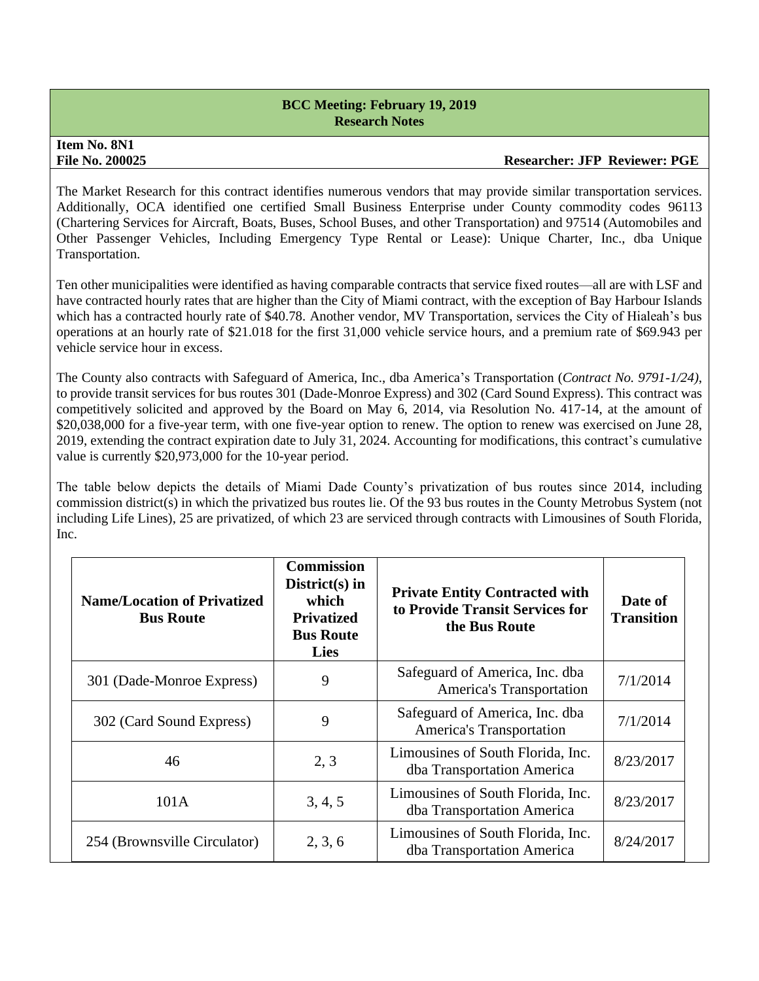# **Item No. 8N1**

#### **File No. 200025 Researcher: JFP Reviewer: PGE**

The Market Research for this contract identifies numerous vendors that may provide similar transportation services. Additionally, OCA identified one certified Small Business Enterprise under County commodity codes 96113 (Chartering Services for Aircraft, Boats, Buses, School Buses, and other Transportation) and 97514 (Automobiles and Other Passenger Vehicles, Including Emergency Type Rental or Lease): Unique Charter, Inc., dba Unique Transportation.

Ten other municipalities were identified as having comparable contracts that service fixed routes—all are with LSF and have contracted hourly rates that are higher than the City of Miami contract, with the exception of Bay Harbour Islands which has a contracted hourly rate of \$40.78. Another vendor, MV Transportation, services the City of Hialeah's bus operations at an hourly rate of \$21.018 for the first 31,000 vehicle service hours, and a premium rate of \$69.943 per vehicle service hour in excess.

The County also contracts with Safeguard of America, Inc., dba America's Transportation (*Contract No. 9791-1/24)*, to provide transit services for bus routes 301 (Dade-Monroe Express) and 302 (Card Sound Express). This contract was competitively solicited and approved by the Board on May 6, 2014, via Resolution No. 417-14, at the amount of \$20,038,000 for a five-year term, with one five-year option to renew. The option to renew was exercised on June 28, 2019, extending the contract expiration date to July 31, 2024. Accounting for modifications, this contract's cumulative value is currently \$20,973,000 for the 10-year period.

The table below depicts the details of Miami Dade County's privatization of bus routes since 2014, including commission district(s) in which the privatized bus routes lie. Of the 93 bus routes in the County Metrobus System (not including Life Lines), 25 are privatized, of which 23 are serviced through contracts with Limousines of South Florida, Inc.

| <b>Name/Location of Privatized</b><br><b>Bus Route</b> | <b>Commission</b><br>$District(s)$ in<br>which<br><b>Privatized</b><br><b>Bus Route</b><br><b>Lies</b> | <b>Private Entity Contracted with</b><br>to Provide Transit Services for<br>the Bus Route | Date of<br><b>Transition</b> |
|--------------------------------------------------------|--------------------------------------------------------------------------------------------------------|-------------------------------------------------------------------------------------------|------------------------------|
| 301 (Dade-Monroe Express)                              | 9                                                                                                      | Safeguard of America, Inc. dba<br>America's Transportation                                | 7/1/2014                     |
| 302 (Card Sound Express)                               | 9                                                                                                      | Safeguard of America, Inc. dba<br>America's Transportation                                | 7/1/2014                     |
| 46                                                     | 2, 3                                                                                                   | Limousines of South Florida, Inc.<br>dba Transportation America                           | 8/23/2017                    |
| 101A                                                   | 3, 4, 5                                                                                                | Limousines of South Florida, Inc.<br>dba Transportation America                           | 8/23/2017                    |
| 254 (Brownsville Circulator)                           | 2, 3, 6                                                                                                | Limousines of South Florida, Inc.<br>dba Transportation America                           | 8/24/2017                    |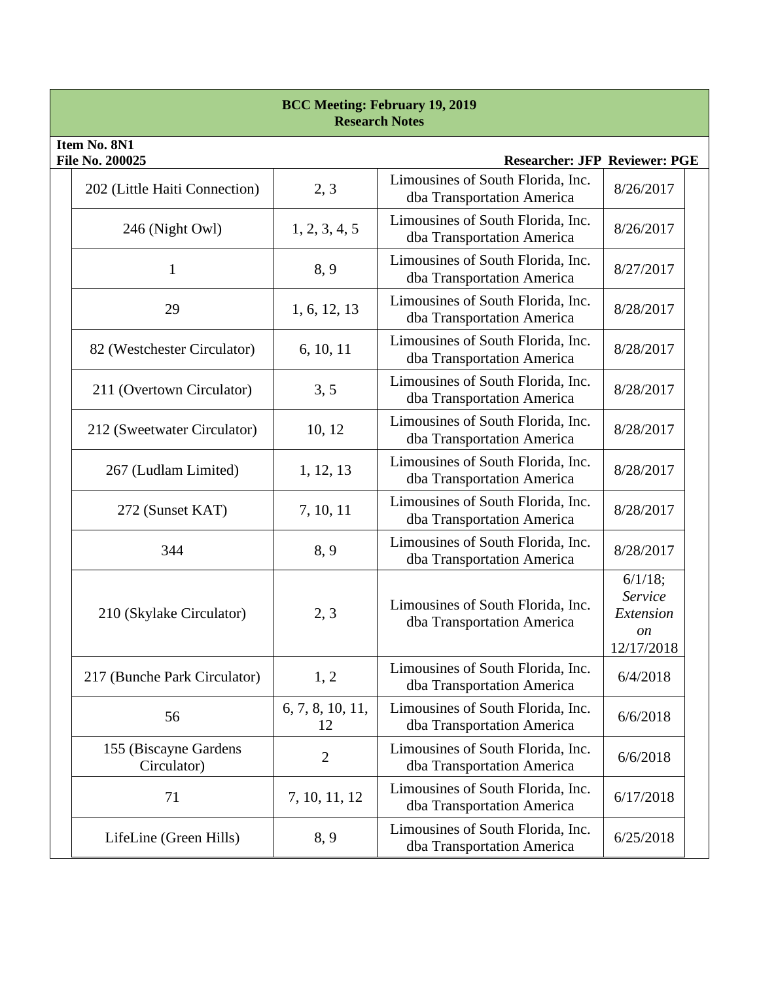| <b>BCC Meeting: February 19, 2019</b><br><b>Research Notes</b>                 |                                      |                        |                                                                 |                                                                |  |  |
|--------------------------------------------------------------------------------|--------------------------------------|------------------------|-----------------------------------------------------------------|----------------------------------------------------------------|--|--|
| Item No. 8N1<br><b>File No. 200025</b><br><b>Researcher: JFP Reviewer: PGE</b> |                                      |                        |                                                                 |                                                                |  |  |
|                                                                                | 202 (Little Haiti Connection)        | 2, 3                   | Limousines of South Florida, Inc.<br>dba Transportation America | 8/26/2017                                                      |  |  |
|                                                                                | 246 (Night Owl)                      | 1, 2, 3, 4, 5          | Limousines of South Florida, Inc.<br>dba Transportation America | 8/26/2017                                                      |  |  |
|                                                                                | 1                                    | 8,9                    | Limousines of South Florida, Inc.<br>dba Transportation America | 8/27/2017                                                      |  |  |
|                                                                                | 29                                   | 1, 6, 12, 13           | Limousines of South Florida, Inc.<br>dba Transportation America | 8/28/2017                                                      |  |  |
|                                                                                | 82 (Westchester Circulator)          | 6, 10, 11              | Limousines of South Florida, Inc.<br>dba Transportation America | 8/28/2017                                                      |  |  |
|                                                                                | 211 (Overtown Circulator)            | 3, 5                   | Limousines of South Florida, Inc.<br>dba Transportation America | 8/28/2017                                                      |  |  |
|                                                                                | 212 (Sweetwater Circulator)          | 10, 12                 | Limousines of South Florida, Inc.<br>dba Transportation America | 8/28/2017                                                      |  |  |
|                                                                                | 267 (Ludlam Limited)                 | 1, 12, 13              | Limousines of South Florida, Inc.<br>dba Transportation America | 8/28/2017                                                      |  |  |
|                                                                                | 272 (Sunset KAT)                     | 7, 10, 11              | Limousines of South Florida, Inc.<br>dba Transportation America | 8/28/2017                                                      |  |  |
|                                                                                | 344                                  | 8, 9                   | Limousines of South Florida, Inc.<br>dba Transportation America | 8/28/2017                                                      |  |  |
|                                                                                | 210 (Skylake Circulator)             | 2, 3                   | Limousines of South Florida, Inc.<br>dba Transportation America | 6/1/18;<br>Service<br>Extension<br><sub>on</sub><br>12/17/2018 |  |  |
|                                                                                | 217 (Bunche Park Circulator)         | 1, 2                   | Limousines of South Florida, Inc.<br>dba Transportation America | 6/4/2018                                                       |  |  |
|                                                                                | 56                                   | 6, 7, 8, 10, 11,<br>12 | Limousines of South Florida, Inc.<br>dba Transportation America | 6/6/2018                                                       |  |  |
|                                                                                | 155 (Biscayne Gardens<br>Circulator) | $\overline{2}$         | Limousines of South Florida, Inc.<br>dba Transportation America | 6/6/2018                                                       |  |  |
|                                                                                | 71                                   | 7, 10, 11, 12          | Limousines of South Florida, Inc.<br>dba Transportation America | 6/17/2018                                                      |  |  |
|                                                                                | LifeLine (Green Hills)               | 8, 9                   | Limousines of South Florida, Inc.<br>dba Transportation America | 6/25/2018                                                      |  |  |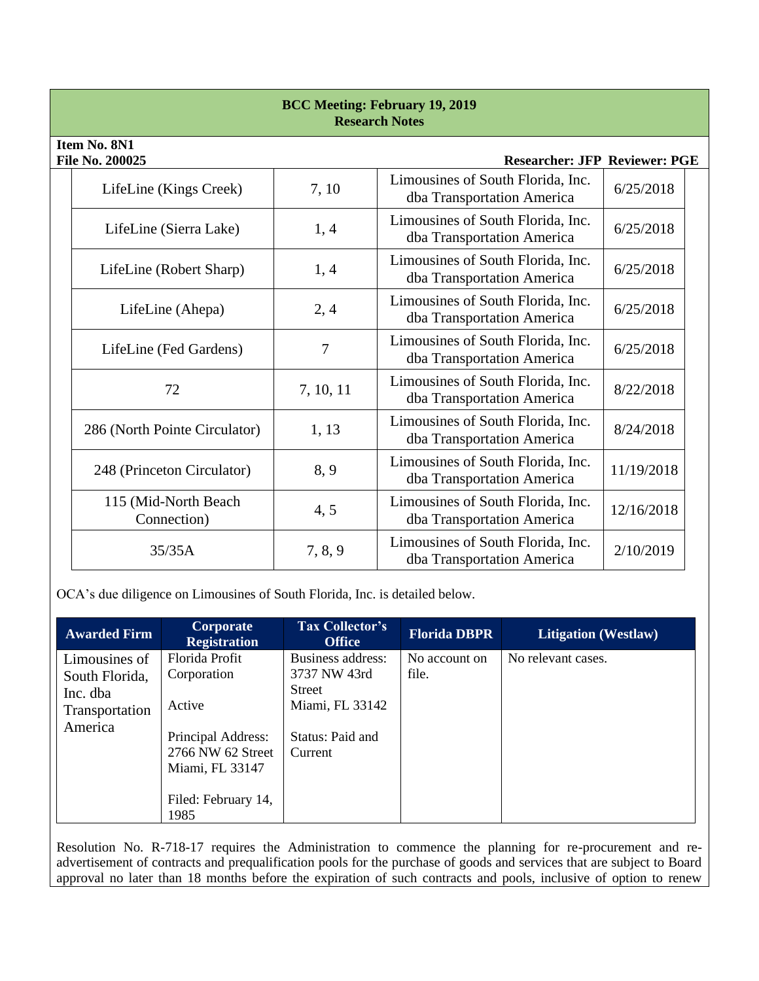| <b>BCC Meeting: February 19, 2019</b><br><b>Research Notes</b> |                                                                         |           |                                                                 |            |  |  |
|----------------------------------------------------------------|-------------------------------------------------------------------------|-----------|-----------------------------------------------------------------|------------|--|--|
|                                                                | Item No. 8N1<br>File No. 200025<br><b>Researcher: JFP Reviewer: PGE</b> |           |                                                                 |            |  |  |
|                                                                | LifeLine (Kings Creek)                                                  | 7, 10     | Limousines of South Florida, Inc.<br>dba Transportation America | 6/25/2018  |  |  |
|                                                                | LifeLine (Sierra Lake)                                                  | 1, 4      | Limousines of South Florida, Inc.<br>dba Transportation America | 6/25/2018  |  |  |
|                                                                | LifeLine (Robert Sharp)                                                 | 1, 4      | Limousines of South Florida, Inc.<br>dba Transportation America | 6/25/2018  |  |  |
|                                                                | LifeLine (Ahepa)                                                        | 2,4       | Limousines of South Florida, Inc.<br>dba Transportation America | 6/25/2018  |  |  |
|                                                                | LifeLine (Fed Gardens)                                                  | 7         | Limousines of South Florida, Inc.<br>dba Transportation America | 6/25/2018  |  |  |
|                                                                | 72                                                                      | 7, 10, 11 | Limousines of South Florida, Inc.<br>dba Transportation America | 8/22/2018  |  |  |
|                                                                | 286 (North Pointe Circulator)                                           | 1, 13     | Limousines of South Florida, Inc.<br>dba Transportation America | 8/24/2018  |  |  |
|                                                                | 248 (Princeton Circulator)                                              | 8, 9      | Limousines of South Florida, Inc.<br>dba Transportation America | 11/19/2018 |  |  |
|                                                                | 115 (Mid-North Beach<br>Connection)                                     | 4, 5      | Limousines of South Florida, Inc.<br>dba Transportation America | 12/16/2018 |  |  |
|                                                                | 35/35A                                                                  | 7, 8, 9   | Limousines of South Florida, Inc.<br>dba Transportation America | 2/10/2019  |  |  |

OCA's due diligence on Limousines of South Florida, Inc. is detailed below.

| <b>Awarded Firm</b>                                                      | Corporate<br><b>Registration</b>                                                                                                     | <b>Tax Collector's</b><br><b>Office</b>                                                              | <b>Florida DBPR</b>    | <b>Litigation</b> (Westlaw) |
|--------------------------------------------------------------------------|--------------------------------------------------------------------------------------------------------------------------------------|------------------------------------------------------------------------------------------------------|------------------------|-----------------------------|
| Limousines of<br>South Florida,<br>Inc. dba<br>Transportation<br>America | Florida Profit<br>Corporation<br>Active<br>Principal Address:<br>2766 NW 62 Street<br>Miami, FL 33147<br>Filed: February 14,<br>1985 | Business address:<br>3737 NW 43rd<br><b>Street</b><br>Miami, FL 33142<br>Status: Paid and<br>Current | No account on<br>file. | No relevant cases.          |

Resolution No. R-718-17 requires the Administration to commence the planning for re-procurement and readvertisement of contracts and prequalification pools for the purchase of goods and services that are subject to Board approval no later than 18 months before the expiration of such contracts and pools, inclusive of option to renew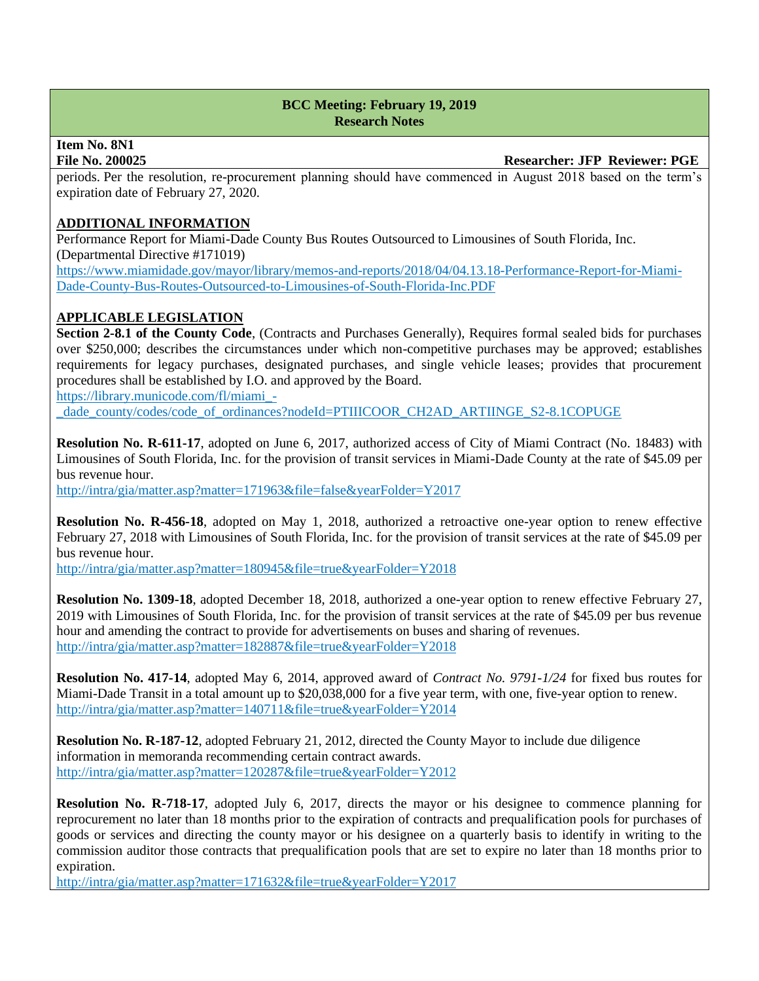# **Item No. 8N1**

**File No. 200025 Researcher: JFP Reviewer: PGE**

periods. Per the resolution, re-procurement planning should have commenced in August 2018 based on the term's expiration date of February 27, 2020.

# **ADDITIONAL INFORMATION**

Performance Report for Miami-Dade County Bus Routes Outsourced to Limousines of South Florida, Inc. (Departmental Directive #171019) [https://www.miamidade.gov/mayor/library/memos-and-reports/2018/04/04.13.18-Performance-Report-for-Miami-](https://www.miamidade.gov/mayor/library/memos-and-reports/2018/04/04.13.18-Performance-Report-for-Miami-Dade-County-Bus-Routes-Outsourced-to-Limousines-of-South-Florida-Inc.PDF)[Dade-County-Bus-Routes-Outsourced-to-Limousines-of-South-Florida-Inc.PDF](https://www.miamidade.gov/mayor/library/memos-and-reports/2018/04/04.13.18-Performance-Report-for-Miami-Dade-County-Bus-Routes-Outsourced-to-Limousines-of-South-Florida-Inc.PDF)

# **APPLICABLE LEGISLATION**

**Section 2-8.1 of the County Code**, (Contracts and Purchases Generally), Requires formal sealed bids for purchases over \$250,000; describes the circumstances under which non-competitive purchases may be approved; establishes requirements for legacy purchases, designated purchases, and single vehicle leases; provides that procurement procedures shall be established by I.O. and approved by the Board.

https://library.municode.com/fl/miami\_-

dade\_county/codes/code\_of\_ordinances?nodeId=PTIIICOOR\_CH2AD\_ARTIINGE\_S2-8.1COPUGE

**Resolution No. R-611-17**, adopted on June 6, 2017, authorized access of City of Miami Contract (No. 18483) with Limousines of South Florida, Inc. for the provision of transit services in Miami-Dade County at the rate of \$45.09 per bus revenue hour.

<http://intra/gia/matter.asp?matter=171963&file=false&yearFolder=Y2017>

**Resolution No. R-456-18**, adopted on May 1, 2018, authorized a retroactive one-year option to renew effective February 27, 2018 with Limousines of South Florida, Inc. for the provision of transit services at the rate of \$45.09 per bus revenue hour.

<http://intra/gia/matter.asp?matter=180945&file=true&yearFolder=Y2018>

**Resolution No. 1309-18**, adopted December 18, 2018, authorized a one-year option to renew effective February 27, 2019 with Limousines of South Florida, Inc. for the provision of transit services at the rate of \$45.09 per bus revenue hour and amending the contract to provide for advertisements on buses and sharing of revenues. <http://intra/gia/matter.asp?matter=182887&file=true&yearFolder=Y2018>

**Resolution No. 417-14**, adopted May 6, 2014, approved award of *Contract No. 9791-1/24* for fixed bus routes for Miami-Dade Transit in a total amount up to \$20,038,000 for a five year term, with one, five-year option to renew. <http://intra/gia/matter.asp?matter=140711&file=true&yearFolder=Y2014>

**Resolution No. R-187-12**, adopted February 21, 2012, directed the County Mayor to include due diligence information in memoranda recommending certain contract awards. <http://intra/gia/matter.asp?matter=120287&file=true&yearFolder=Y2012>

**Resolution No. R-718-17**, adopted July 6, 2017, directs the mayor or his designee to commence planning for reprocurement no later than 18 months prior to the expiration of contracts and prequalification pools for purchases of goods or services and directing the county mayor or his designee on a quarterly basis to identify in writing to the commission auditor those contracts that prequalification pools that are set to expire no later than 18 months prior to expiration.

<http://intra/gia/matter.asp?matter=171632&file=true&yearFolder=Y2017>